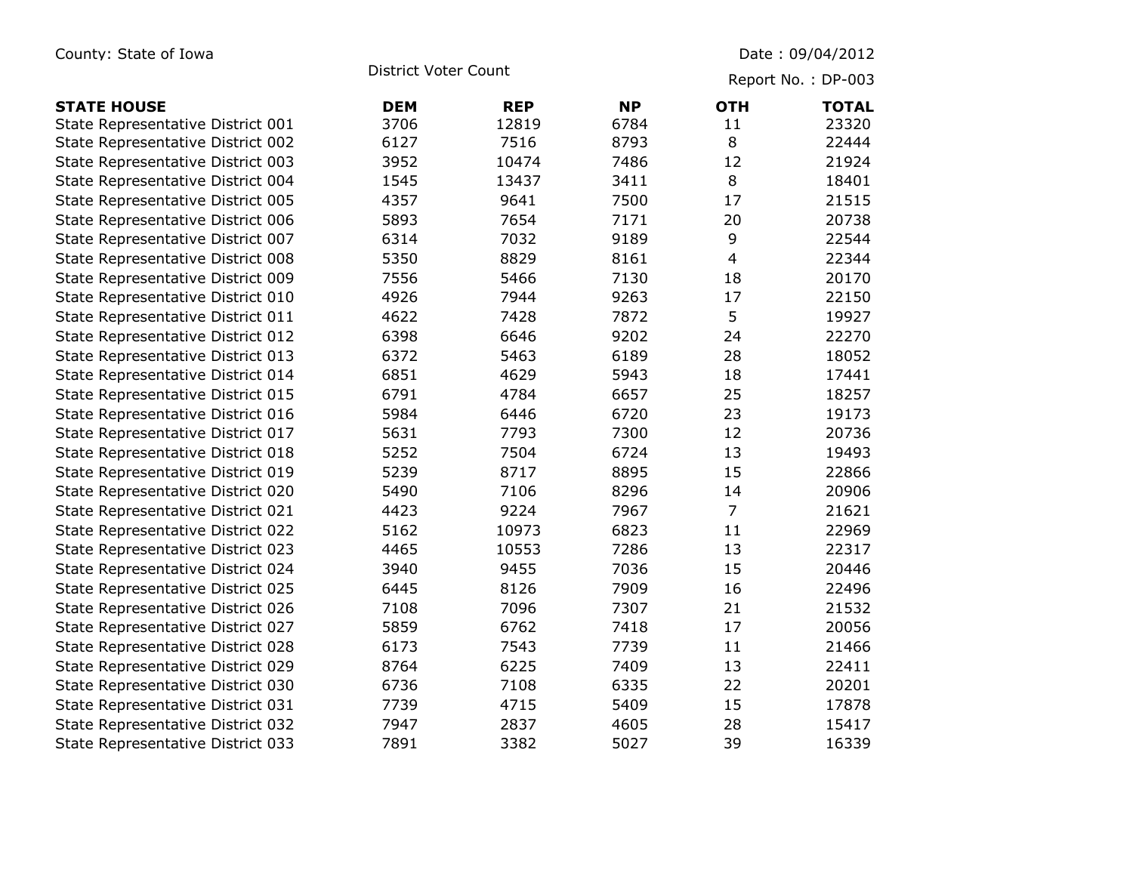| County: State of Iowa             | <b>District Voter Count</b> |            |           | Date: 09/04/2012<br>Report No.: DP-003 |              |
|-----------------------------------|-----------------------------|------------|-----------|----------------------------------------|--------------|
|                                   |                             |            |           |                                        |              |
| <b>STATE HOUSE</b>                | <b>DEM</b>                  | <b>REP</b> | <b>NP</b> | <b>OTH</b>                             | <b>TOTAL</b> |
| State Representative District 001 | 3706                        | 12819      | 6784      | 11                                     | 23320        |
| State Representative District 002 | 6127                        | 7516       | 8793      | 8                                      | 22444        |
| State Representative District 003 | 3952                        | 10474      | 7486      | 12                                     | 21924        |
| State Representative District 004 | 1545                        | 13437      | 3411      | 8                                      | 18401        |
| State Representative District 005 | 4357                        | 9641       | 7500      | 17                                     | 21515        |
| State Representative District 006 | 5893                        | 7654       | 7171      | 20                                     | 20738        |
| State Representative District 007 | 6314                        | 7032       | 9189      | 9                                      | 22544        |
| State Representative District 008 | 5350                        | 8829       | 8161      | $\overline{4}$                         | 22344        |
| State Representative District 009 | 7556                        | 5466       | 7130      | 18                                     | 20170        |
| State Representative District 010 | 4926                        | 7944       | 9263      | 17                                     | 22150        |
| State Representative District 011 | 4622                        | 7428       | 7872      | 5                                      | 19927        |
| State Representative District 012 | 6398                        | 6646       | 9202      | 24                                     | 22270        |
| State Representative District 013 | 6372                        | 5463       | 6189      | 28                                     | 18052        |
| State Representative District 014 | 6851                        | 4629       | 5943      | 18                                     | 17441        |
| State Representative District 015 | 6791                        | 4784       | 6657      | 25                                     | 18257        |
| State Representative District 016 | 5984                        | 6446       | 6720      | 23                                     | 19173        |
| State Representative District 017 | 5631                        | 7793       | 7300      | 12                                     | 20736        |
| State Representative District 018 | 5252                        | 7504       | 6724      | 13                                     | 19493        |
| State Representative District 019 | 5239                        | 8717       | 8895      | 15                                     | 22866        |
| State Representative District 020 | 5490                        | 7106       | 8296      | 14                                     | 20906        |
| State Representative District 021 | 4423                        | 9224       | 7967      | $\overline{7}$                         | 21621        |
| State Representative District 022 | 5162                        | 10973      | 6823      | 11                                     | 22969        |
| State Representative District 023 | 4465                        | 10553      | 7286      | 13                                     | 22317        |
| State Representative District 024 | 3940                        | 9455       | 7036      | 15                                     | 20446        |
| State Representative District 025 | 6445                        | 8126       | 7909      | 16                                     | 22496        |
| State Representative District 026 | 7108                        | 7096       | 7307      | 21                                     | 21532        |
| State Representative District 027 | 5859                        | 6762       | 7418      | 17                                     | 20056        |
| State Representative District 028 | 6173                        | 7543       | 7739      | 11                                     | 21466        |
| State Representative District 029 | 8764                        | 6225       | 7409      | 13                                     | 22411        |
| State Representative District 030 | 6736                        | 7108       | 6335      | 22                                     | 20201        |
| State Representative District 031 | 7739                        | 4715       | 5409      | 15                                     | 17878        |
| State Representative District 032 | 7947                        | 2837       | 4605      | 28                                     | 15417        |
| State Representative District 033 | 7891                        | 3382       | 5027      | 39                                     | 16339        |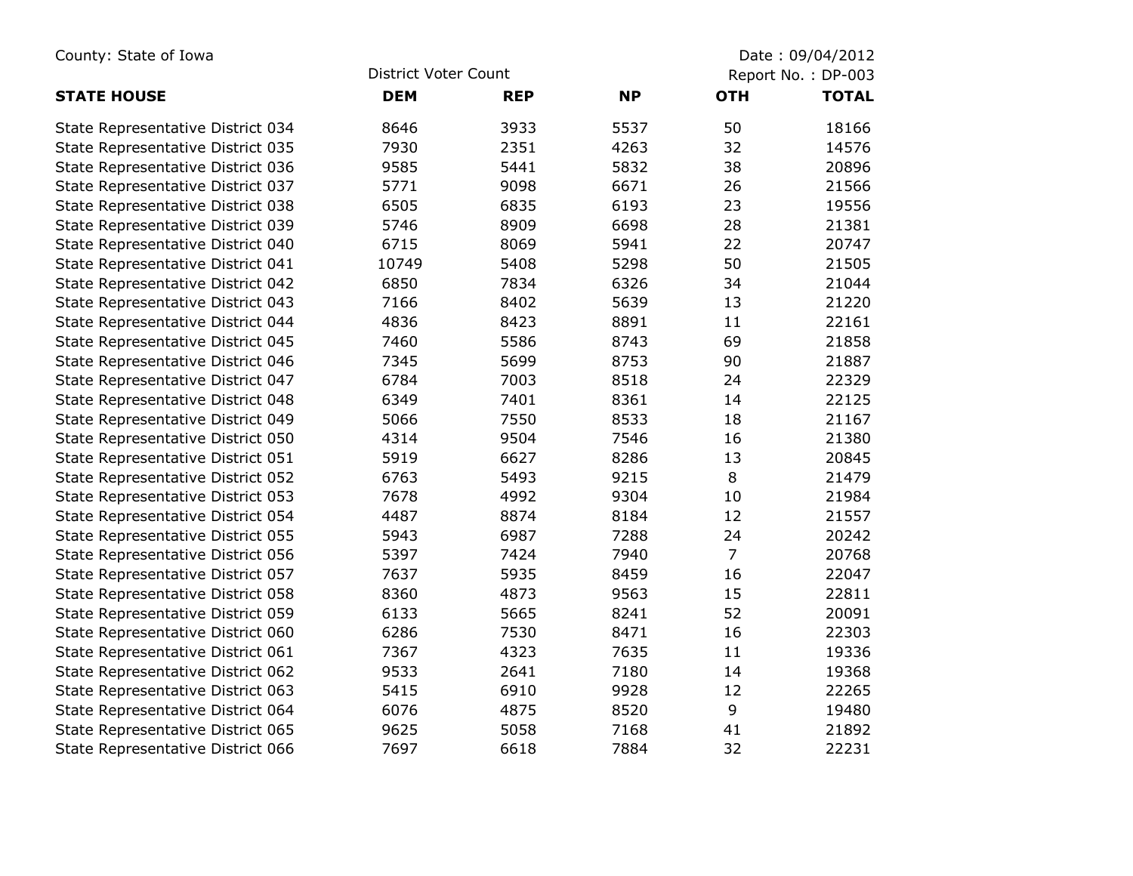| County: State of Iowa             |                      |            | Date: 09/04/2012 |                |                    |
|-----------------------------------|----------------------|------------|------------------|----------------|--------------------|
|                                   | District Voter Count |            |                  |                | Report No.: DP-003 |
| <b>STATE HOUSE</b>                | <b>DEM</b>           | <b>REP</b> | <b>NP</b>        | <b>OTH</b>     | <b>TOTAL</b>       |
| State Representative District 034 | 8646                 | 3933       | 5537             | 50             | 18166              |
| State Representative District 035 | 7930                 | 2351       | 4263             | 32             | 14576              |
| State Representative District 036 | 9585                 | 5441       | 5832             | 38             | 20896              |
| State Representative District 037 | 5771                 | 9098       | 6671             | 26             | 21566              |
| State Representative District 038 | 6505                 | 6835       | 6193             | 23             | 19556              |
| State Representative District 039 | 5746                 | 8909       | 6698             | 28             | 21381              |
| State Representative District 040 | 6715                 | 8069       | 5941             | 22             | 20747              |
| State Representative District 041 | 10749                | 5408       | 5298             | 50             | 21505              |
| State Representative District 042 | 6850                 | 7834       | 6326             | 34             | 21044              |
| State Representative District 043 | 7166                 | 8402       | 5639             | 13             | 21220              |
| State Representative District 044 | 4836                 | 8423       | 8891             | 11             | 22161              |
| State Representative District 045 | 7460                 | 5586       | 8743             | 69             | 21858              |
| State Representative District 046 | 7345                 | 5699       | 8753             | 90             | 21887              |
| State Representative District 047 | 6784                 | 7003       | 8518             | 24             | 22329              |
| State Representative District 048 | 6349                 | 7401       | 8361             | 14             | 22125              |
| State Representative District 049 | 5066                 | 7550       | 8533             | 18             | 21167              |
| State Representative District 050 | 4314                 | 9504       | 7546             | 16             | 21380              |
| State Representative District 051 | 5919                 | 6627       | 8286             | 13             | 20845              |
| State Representative District 052 | 6763                 | 5493       | 9215             | 8              | 21479              |
| State Representative District 053 | 7678                 | 4992       | 9304             | 10             | 21984              |
| State Representative District 054 | 4487                 | 8874       | 8184             | 12             | 21557              |
| State Representative District 055 | 5943                 | 6987       | 7288             | 24             | 20242              |
| State Representative District 056 | 5397                 | 7424       | 7940             | $\overline{7}$ | 20768              |
| State Representative District 057 | 7637                 | 5935       | 8459             | 16             | 22047              |
| State Representative District 058 | 8360                 | 4873       | 9563             | 15             | 22811              |
| State Representative District 059 | 6133                 | 5665       | 8241             | 52             | 20091              |
| State Representative District 060 | 6286                 | 7530       | 8471             | 16             | 22303              |
| State Representative District 061 | 7367                 | 4323       | 7635             | 11             | 19336              |
| State Representative District 062 | 9533                 | 2641       | 7180             | 14             | 19368              |
| State Representative District 063 | 5415                 | 6910       | 9928             | 12             | 22265              |
| State Representative District 064 | 6076                 | 4875       | 8520             | $\mathsf 9$    | 19480              |
| State Representative District 065 | 9625                 | 5058       | 7168             | 41             | 21892              |
| State Representative District 066 | 7697                 | 6618       | 7884             | 32             | 22231              |